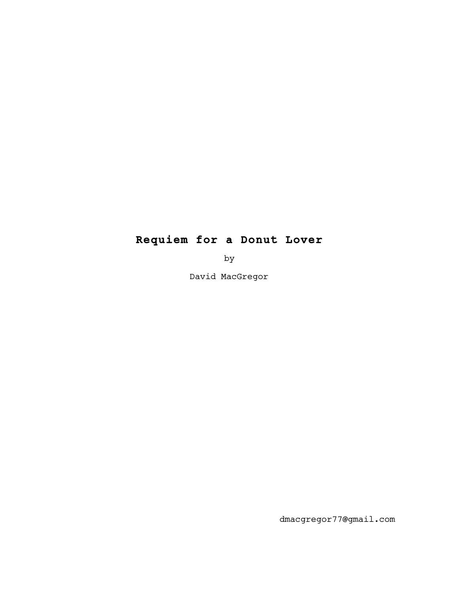# **Requiem for a Donut Lover**

by

David MacGregor

dmacgregor77@gmail.com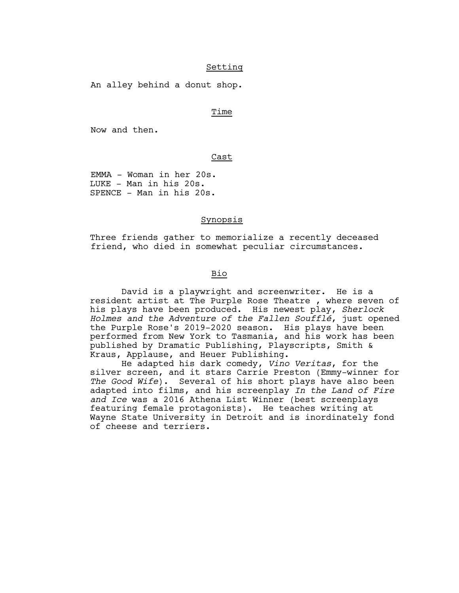## Setting

An alley behind a donut shop.

## **Time** is a state of the state of the state of the state of the state of the state of the state of the state of

Now and then.

Cast

 EMMA - Woman in her 20s. LUKE - Man in his 20s. SPENCE - Man in his 20s.

## Synopsis

Three friends gather to memorialize a recently deceased friend, who died in somewhat peculiar circumstances.

# <u>Bio de la componentación de la pro</u>

 David is a playwright and screenwriter. He is a resident artist at The Purple Rose Theatre , where seven of his plays have been produced. His newest play, *Sherlock Holmes and the Adventure of the Fallen Soufflé*, just opened the Purple Rose's 2019-2020 season. His plays have been performed from New York to Tasmania, and his work has been published by Dramatic Publishing, Playscripts, Smith & Kraus, Applause, and Heuer Publishing.

 He adapted his dark comedy, *Vino Veritas*, for the silver screen, and it stars Carrie Preston (Emmy-winner for *The Good Wife*). Several of his short plays have also been adapted into films, and his screenplay *In the Land of Fire and Ice* was a 2016 Athena List Winner (best screenplays featuring female protagonists). He teaches writing at Wayne State University in Detroit and is inordinately fond of cheese and terriers.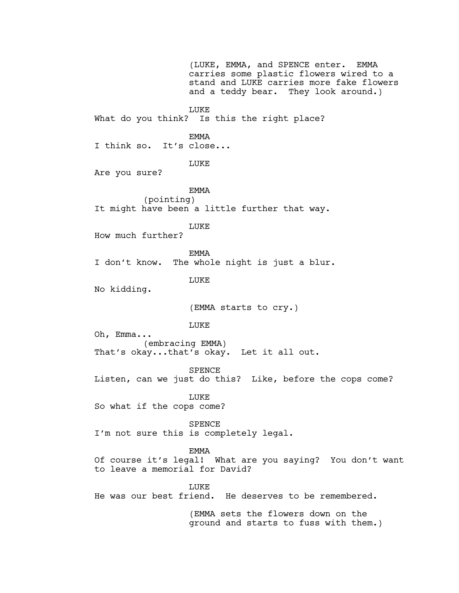(LUKE, EMMA, and SPENCE enter. EMMA carries some plastic flowers wired to a stand and LUKE carries more fake flowers and a teddy bear. They look around.) LUKE What do you think? Is this the right place? EMMA I think so. It's close... LUKE Are you sure? EMMA (pointing) It might have been a little further that way. LUKE How much further? EMMA I don't know. The whole night is just a blur. LUKE No kidding. (EMMA starts to cry.) LUKE Oh, Emma... (embracing EMMA) That's okay...that's okay. Let it all out. SPENCE Listen, can we just do this? Like, before the cops come? **LUKE** So what if the cops come? SPENCE I'm not sure this is completely legal. EMMA Of course it's legal! What are you saying? You don't want to leave a memorial for David? **LUKE** He was our best friend. He deserves to be remembered.

(EMMA sets the flowers down on the ground and starts to fuss with them.)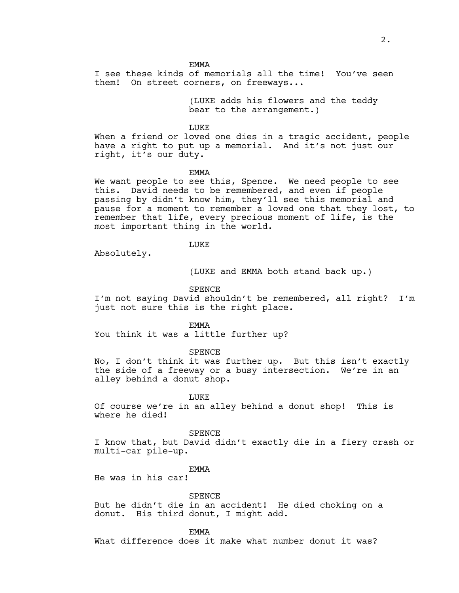EMMA

I see these kinds of memorials all the time! You've seen them! On street corners, on freeways...

> (LUKE adds his flowers and the teddy bear to the arrangement.)

LUKE

When a friend or loved one dies in a tragic accident, people have a right to put up a memorial. And it's not just our right, it's our duty.

#### EMMA

We want people to see this, Spence. We need people to see this. David needs to be remembered, and even if people passing by didn't know him, they'll see this memorial and pause for a moment to remember a loved one that they lost, to remember that life, every precious moment of life, is the most important thing in the world.

#### LUKE

Absolutely.

(LUKE and EMMA both stand back up.)

SPENCE

I'm not saying David shouldn't be remembered, all right? I'm just not sure this is the right place.

EMMA

You think it was a little further up?

SPENCE

No, I don't think it was further up. But this isn't exactly the side of a freeway or a busy intersection. We're in an alley behind a donut shop.

**LUKE** 

Of course we're in an alley behind a donut shop! This is where he died!

SPENCE

I know that, but David didn't exactly die in a fiery crash or multi-car pile-up.

**EMMA** 

He was in his car!

SPENCE

But he didn't die in an accident! He died choking on a donut. His third donut, I might add.

EMMA

What difference does it make what number donut it was?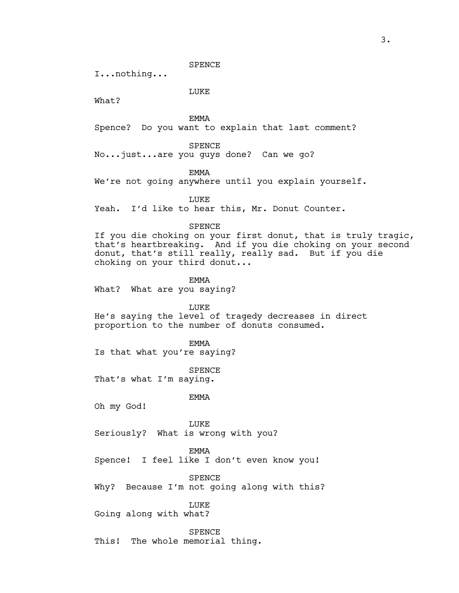SPENCE

I...nothing...

LUKE

What?

EMMA

Spence? Do you want to explain that last comment?

SPENCE

No...just...are you guys done? Can we go?

EMMA

We're not going anywhere until you explain yourself.

LUKE

Yeah. I'd like to hear this, Mr. Donut Counter.

## SPENCE

If you die choking on your first donut, that is truly tragic, that's heartbreaking. And if you die choking on your second donut, that's still really, really sad. But if you die choking on your third donut...

EMMA

What? What are you saying?

LUKE

He's saying the level of tragedy decreases in direct proportion to the number of donuts consumed.

EMMA

Is that what you're saying?

SPENCE That's what I'm saying.

EMMA

Oh my God!

LUKE Seriously? What is wrong with you?

EMMA

Spence! I feel like I don't even know you!

SPENCE

Why? Because I'm not going along with this?

LUKE

Going along with what?

SPENCE This! The whole memorial thing.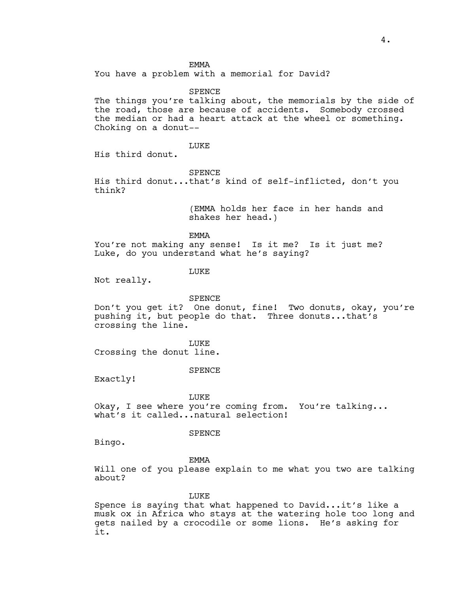#### EMMA

You have a problem with a memorial for David?

#### SPENCE

The things you're talking about, the memorials by the side of the road, those are because of accidents. Somebody crossed the median or had a heart attack at the wheel or something. Choking on a donut--

## LUKE

His third donut.

#### SPENCE

His third donut...that's kind of self-inflicted, don't you think?

> (EMMA holds her face in her hands and shakes her head.)

EMMA

You're not making any sense! Is it me? Is it just me? Luke, do you understand what he's saying?

## **LUKE**

Not really.

#### SPENCE

Don't you get it? One donut, fine! Two donuts, okay, you're pushing it, but people do that. Three donuts...that's crossing the line.

LUKE

Crossing the donut line.

#### SPENCE

Exactly!

#### LUKE

Okay, I see where you're coming from. You're talking... what's it called...natural selection!

## SPENCE

Bingo.

#### EMMA

Will one of you please explain to me what you two are talking about?

**LUKE** 

Spence is saying that what happened to David...it's like a musk ox in Africa who stays at the watering hole too long and gets nailed by a crocodile or some lions. He's asking for it.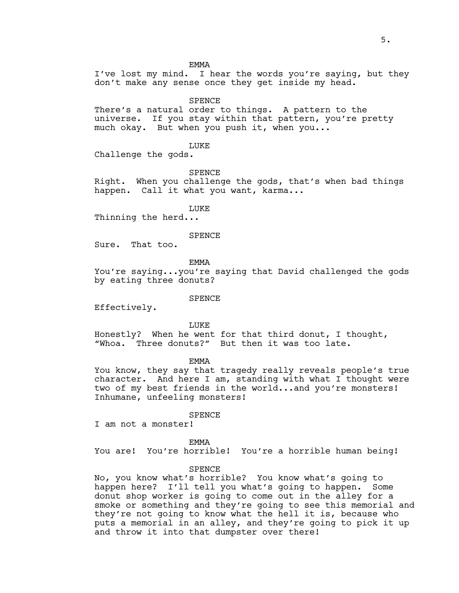EMMA

I've lost my mind. I hear the words you're saying, but they don't make any sense once they get inside my head.

**SPENCE** 

There's a natural order to things. A pattern to the universe. If you stay within that pattern, you're pretty much okay. But when you push it, when you...

LUKE

Challenge the gods.

SPENCE

Right. When you challenge the gods, that's when bad things happen. Call it what you want, karma...

**LUKE** 

Thinning the herd...

SPENCE

Sure. That too.

EMMA

You're saying...you're saying that David challenged the gods by eating three donuts?

SPENCE

Effectively.

LUKE

Honestly? When he went for that third donut, I thought, "Whoa. Three donuts?" But then it was too late.

EMMA

You know, they say that tragedy really reveals people's true character. And here I am, standing with what I thought were two of my best friends in the world...and you're monsters! Inhumane, unfeeling monsters!

SPENCE

I am not a monster!

EMMA

You are! You're horrible! You're a horrible human being!

## SPENCE

No, you know what's horrible? You know what's going to happen here? I'll tell you what's going to happen. Some donut shop worker is going to come out in the alley for a smoke or something and they're going to see this memorial and they're not going to know what the hell it is, because who puts a memorial in an alley, and they're going to pick it up and throw it into that dumpster over there!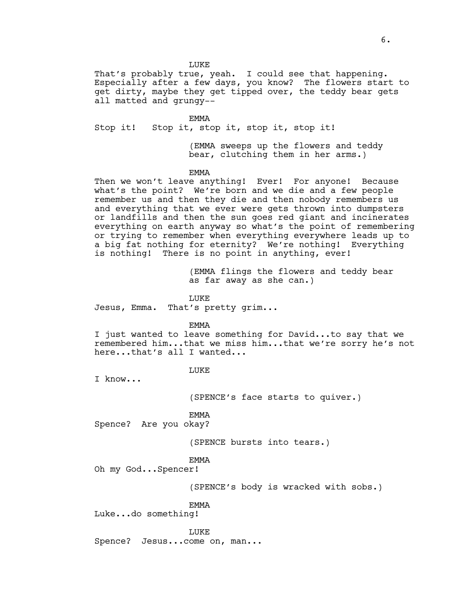LUKE

That's probably true, yeah. I could see that happening. Especially after a few days, you know? The flowers start to get dirty, maybe they get tipped over, the teddy bear gets all matted and grungy--

EMMA

Stop it! Stop it, stop it, stop it, stop it!

(EMMA sweeps up the flowers and teddy bear, clutching them in her arms.)

EMMA

Then we won't leave anything! Ever! For anyone! Because what's the point? We're born and we die and a few people remember us and then they die and then nobody remembers us and everything that we ever were gets thrown into dumpsters or landfills and then the sun goes red giant and incinerates everything on earth anyway so what's the point of remembering or trying to remember when everything everywhere leads up to a big fat nothing for eternity? We're nothing! Everything is nothing! There is no point in anything, ever!

> (EMMA flings the flowers and teddy bear as far away as she can.)

**LUKE** 

Jesus, Emma. That's pretty grim...

EMMA

I just wanted to leave something for David...to say that we remembered him...that we miss him...that we're sorry he's not here...that's all I wanted...

**LUKE** 

I know...

(SPENCE's face starts to quiver.)

EMMA

Spence? Are you okay?

(SPENCE bursts into tears.)

EMMA

Oh my God...Spencer!

(SPENCE's body is wracked with sobs.)

EMMA

Luke...do something!

LUKE

Spence? Jesus...come on, man...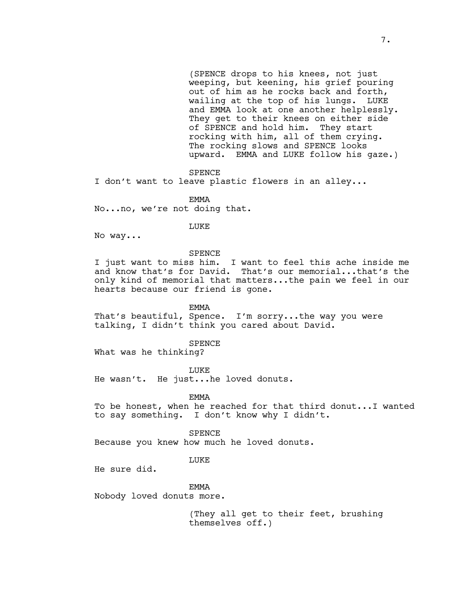(SPENCE drops to his knees, not just weeping, but keening, his grief pouring out of him as he rocks back and forth, wailing at the top of his lungs. LUKE and EMMA look at one another helplessly. They get to their knees on either side of SPENCE and hold him. They start rocking with him, all of them crying. The rocking slows and SPENCE looks upward. EMMA and LUKE follow his gaze.)

SPENCE

I don't want to leave plastic flowers in an alley...

EMMA

No...no, we're not doing that.

LUKE

No way...

SPENCE

I just want to miss him. I want to feel this ache inside me and know that's for David. That's our memorial...that's the only kind of memorial that matters...the pain we feel in our hearts because our friend is gone.

EMMA

That's beautiful, Spence. I'm sorry...the way you were talking, I didn't think you cared about David.

SPENCE

What was he thinking?

LUKE

He wasn't. He just...he loved donuts.

EMMA

To be honest, when he reached for that third donut...I wanted to say something. I don't know why I didn't.

SPENCE

Because you knew how much he loved donuts.

LUKE

He sure did.

EMMA

Nobody loved donuts more.

(They all get to their feet, brushing themselves off.)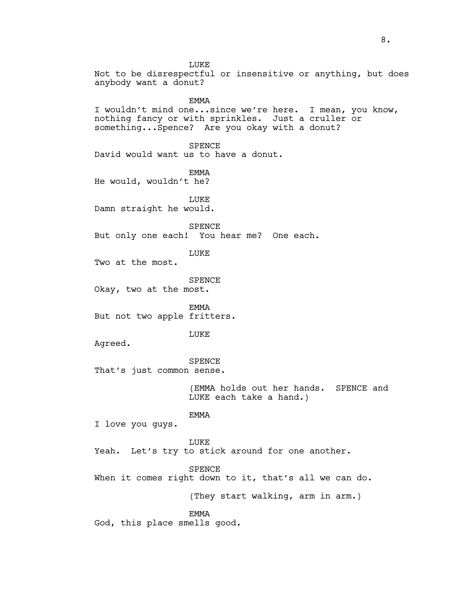LUKE Not to be disrespectful or insensitive or anything, but does anybody want a donut? **EMMA** I wouldn't mind one...since we're here. I mean, you know, nothing fancy or with sprinkles. Just a cruller or something...Spence? Are you okay with a donut? SPENCE David would want us to have a donut. EMMA He would, wouldn't he? LUKE Damn straight he would. SPENCE But only one each! You hear me? One each. **LUKE** Two at the most. SPENCE Okay, two at the most. EMMA But not two apple fritters. LUKE Agreed. SPENCE That's just common sense. (EMMA holds out her hands. SPENCE and LUKE each take a hand.) EMMA I love you guys. LUKE Yeah. Let's try to stick around for one another. SPENCE When it comes right down to it, that's all we can do. (They start walking, arm in arm.) EMMA God, this place smells good.

8.